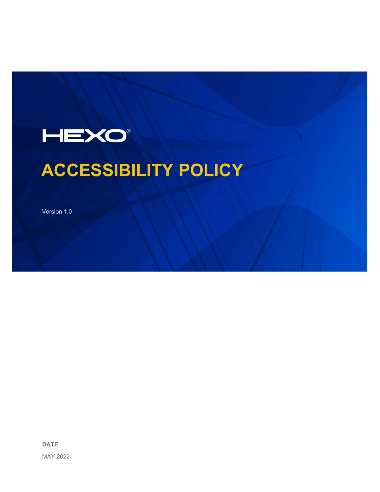

# **ACCESSIBILITY POLICY**

Version 1.0

**DATE**

MAY 2022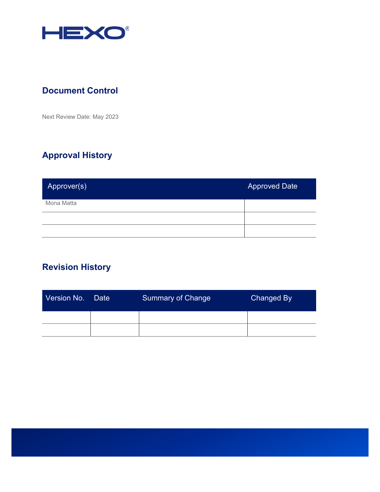

# **Document Control**

Next Review Date: May 2023

# **Approval History**

| Approver(s) | <b>Approved Date</b> |
|-------------|----------------------|
| Mona Matta  |                      |
|             |                      |
|             |                      |

# **Revision History**

| Version No. Date | Summary of Change | Changed By |
|------------------|-------------------|------------|
|                  |                   |            |
|                  |                   |            |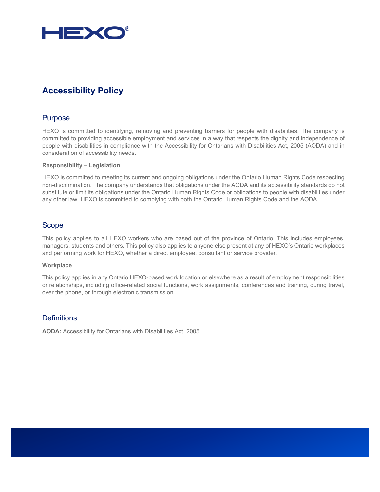

# **Accessibility Policy**

## Purpose

HEXO is committed to identifying, removing and preventing barriers for people with disabilities. The company is committed to providing accessible employment and services in a way that respects the dignity and independence of people with disabilities in compliance with the Accessibility for Ontarians with Disabilities Act, 2005 (AODA) and in consideration of accessibility needs.

#### **Responsibility – Legislation**

HEXO is committed to meeting its current and ongoing obligations under the Ontario Human Rights Code respecting non-discrimination. The company understands that obligations under the AODA and its accessibility standards do not substitute or limit its obligations under the Ontario Human Rights Code or obligations to people with disabilities under any other law. HEXO is committed to complying with both the Ontario Human Rights Code and the AODA.

## Scope

This policy applies to all HEXO workers who are based out of the province of Ontario. This includes employees, managers, students and others. This policy also applies to anyone else present at any of HEXO's Ontario workplaces and performing work for HEXO, whether a direct employee, consultant or service provider.

#### **Workplace**

This policy applies in any Ontario HEXO-based work location or elsewhere as a result of employment responsibilities or relationships, including office‐related social functions, work assignments, conferences and training, during travel, over the phone, or through electronic transmission.

## **Definitions**

**AODA:** Accessibility for Ontarians with Disabilities Act, 2005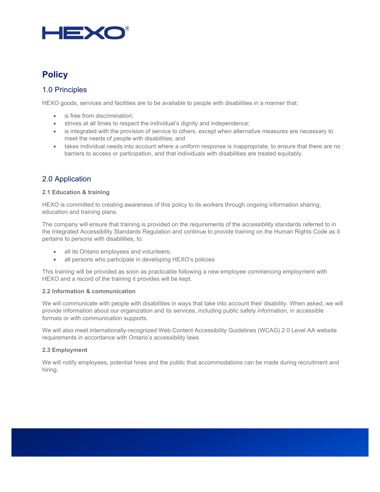

# **Policy**

## 1.0 Principles

HEXO goods, services and facilities are to be available to people with disabilities in a manner that:

- is free from discrimination;
- strives at all times to respect the individual's dignity and independence;
- is integrated with the provision of service to others, except when alternative measures are necessary to meet the needs of people with disabilities; and
- takes individual needs into account where a uniform response is inappropriate, to ensure that there are no barriers to access or participation, and that individuals with disabilities are treated equitably.

## 2.0 Application

### **2.1 Education & training**

HEXO is committed to creating awareness of this policy to its workers through ongoing information sharing, education and training plans.

The company will ensure that training is provided on the requirements of the accessibility standards referred to in the Integrated Accessibility Standards Regulation and continue to provide training on the Human Rights Code as it pertains to persons with disabilities, to:

- all its Ontario employees and volunteers;
- all persons who participate in developing HEXO's policies

This training will be provided as soon as practicable following a new employee commencing employment with HEXO and a record of the training it provides will be kept.

#### **2.2 Information & communication**

We will communicate with people with disabilities in ways that take into account their disability. When asked, we will provide information about our organization and its services, including public safety information, in accessible formats or with communication supports.

We will also meet internationally-recognized Web Content Accessibility Guidelines (WCAG) 2.0 Level AA website requirements in accordance with Ontario's accessibility laws.

## **2.3 Employment**

We will notify employees, potential hires and the public that accommodations can be made during recruitment and hiring.